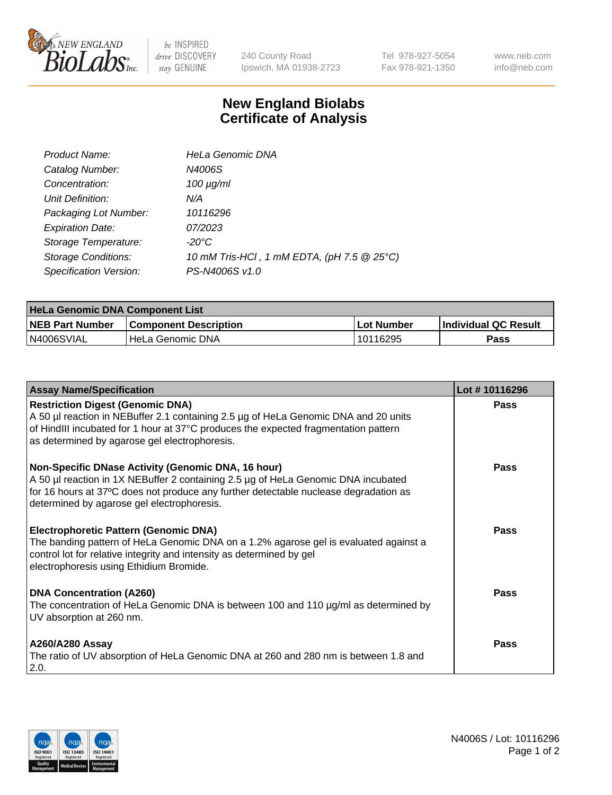

be INSPIRED drive DISCOVERY stay GENUINE

240 County Road Ipswich, MA 01938-2723 Tel 978-927-5054 Fax 978-921-1350 www.neb.com info@neb.com

## **New England Biolabs Certificate of Analysis**

| Product Name:              | <b>HeLa Genomic DNA</b>                    |
|----------------------------|--------------------------------------------|
| Catalog Number:            | N4006S                                     |
| Concentration:             | $100 \mu g/ml$                             |
| Unit Definition:           | N/A                                        |
| Packaging Lot Number:      | 10116296                                   |
| <b>Expiration Date:</b>    | 07/2023                                    |
| Storage Temperature:       | -20°C                                      |
| <b>Storage Conditions:</b> | 10 mM Tris-HCl, 1 mM EDTA, (pH 7.5 @ 25°C) |
| Specification Version:     | PS-N4006S v1.0                             |

| <b>HeLa Genomic DNA Component List</b> |                              |             |                      |  |
|----------------------------------------|------------------------------|-------------|----------------------|--|
| <b>NEB Part Number</b>                 | <b>Component Description</b> | ⊺Lot Number | Individual QC Result |  |
| IN4006SVIAL                            | l HeLa Genomic DNA           | 10116295    | Pass                 |  |

| <b>Assay Name/Specification</b>                                                                                                                                                                                                                                               | Lot #10116296 |
|-------------------------------------------------------------------------------------------------------------------------------------------------------------------------------------------------------------------------------------------------------------------------------|---------------|
| <b>Restriction Digest (Genomic DNA)</b><br>A 50 µl reaction in NEBuffer 2.1 containing 2.5 µg of HeLa Genomic DNA and 20 units<br>of HindIII incubated for 1 hour at 37°C produces the expected fragmentation pattern<br>as determined by agarose gel electrophoresis.        | <b>Pass</b>   |
| Non-Specific DNase Activity (Genomic DNA, 16 hour)<br>A 50 µl reaction in 1X NEBuffer 2 containing 2.5 µg of HeLa Genomic DNA incubated<br>for 16 hours at 37°C does not produce any further detectable nuclease degradation as<br>determined by agarose gel electrophoresis. | Pass          |
| <b>Electrophoretic Pattern (Genomic DNA)</b><br>The banding pattern of HeLa Genomic DNA on a 1.2% agarose gel is evaluated against a<br>control lot for relative integrity and intensity as determined by gel<br>electrophoresis using Ethidium Bromide.                      | Pass          |
| <b>DNA Concentration (A260)</b><br>The concentration of HeLa Genomic DNA is between 100 and 110 µg/ml as determined by<br>UV absorption at 260 nm.                                                                                                                            | Pass          |
| <b>A260/A280 Assay</b><br>The ratio of UV absorption of HeLa Genomic DNA at 260 and 280 nm is between 1.8 and<br>2.0.                                                                                                                                                         | Pass          |